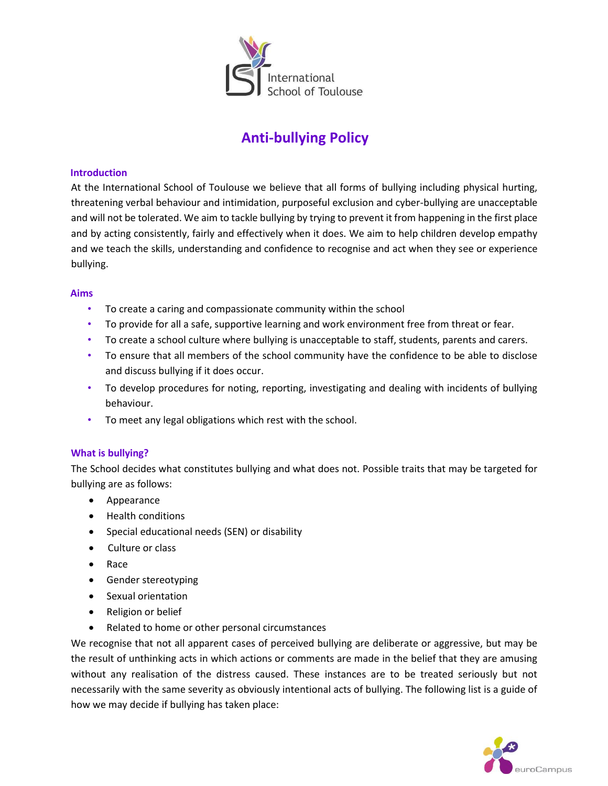

# **Anti-bullying Policy**

### **Introduction**

At the International School of Toulouse we believe that all forms of bullying including physical hurting, threatening verbal behaviour and intimidation, purposeful exclusion and cyber-bullying are unacceptable and will not be tolerated. We aim to tackle bullying by trying to prevent it from happening in the first place and by acting consistently, fairly and effectively when it does. We aim to help children develop empathy and we teach the skills, understanding and confidence to recognise and act when they see or experience bullying.

#### **Aims**

- To create a caring and compassionate community within the school
- To provide for all a safe, supportive learning and work environment free from threat or fear.
- To create a school culture where bullying is unacceptable to staff, students, parents and carers.
- To ensure that all members of the school community have the confidence to be able to disclose and discuss bullying if it does occur.
- To develop procedures for noting, reporting, investigating and dealing with incidents of bullying behaviour.
- To meet any legal obligations which rest with the school.

### **What is bullying?**

The School decides what constitutes bullying and what does not. Possible traits that may be targeted for bullying are as follows:

- Appearance
- Health conditions
- Special educational needs (SEN) or disability
- Culture or class
- Race
- Gender stereotyping
- Sexual orientation
- Religion or belief
- Related to home or other personal circumstances

We recognise that not all apparent cases of perceived bullying are deliberate or aggressive, but may be the result of unthinking acts in which actions or comments are made in the belief that they are amusing without any realisation of the distress caused. These instances are to be treated seriously but not necessarily with the same severity as obviously intentional acts of bullying. The following list is a guide of how we may decide if bullying has taken place:

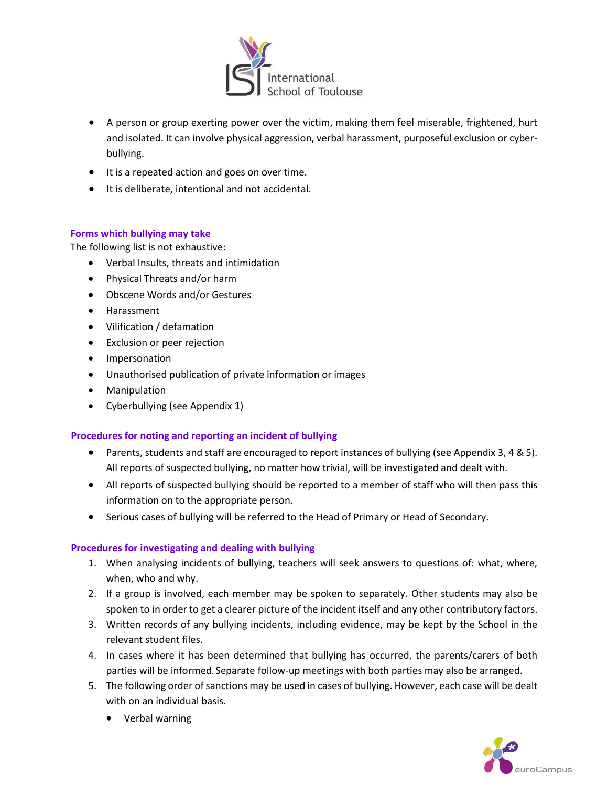

- A person or group exerting power over the victim, making them feel miserable, frightened, hurt and isolated. It can involve physical aggression, verbal harassment, purposeful exclusion or cyberbullying.
- It is a repeated action and goes on over time.
- It is deliberate, intentional and not accidental.

### **Forms which bullying may take**

The following list is not exhaustive:

- Verbal Insults, threats and intimidation
- Physical Threats and/or harm
- Obscene Words and/or Gestures
- Harassment
- Vilification / defamation
- Exclusion or peer rejection
- Impersonation
- Unauthorised publication of private information or images
- Manipulation
- Cyberbullying (see Appendix 1)

### **Procedures for noting and reporting an incident of bullying**

- Parents, students and staff are encouraged to report instances of bullying (see Appendix 3, 4 & 5). All reports of suspected bullying, no matter how trivial, will be investigated and dealt with.
- All reports of suspected bullying should be reported to a member of staff who will then pass this information on to the appropriate person.
- Serious cases of bullying will be referred to the Head of Primary or Head of Secondary.

### **Procedures for investigating and dealing with bullying**

- 1. When analysing incidents of bullying, teachers will seek answers to questions of: what, where, when, who and why.
- 2. If a group is involved, each member may be spoken to separately. Other students may also be spoken to in order to get a clearer picture of the incident itself and any other contributory factors.
- 3. Written records of any bullying incidents, including evidence, may be kept by the School in the relevant student files.
- 4. In cases where it has been determined that bullying has occurred, the parents/carers of both parties will be informed. Separate follow-up meetings with both parties may also be arranged.
- 5. The following order of sanctions may be used in cases of bullying. However, each case will be dealt with on an individual basis.
	- Verbal warning

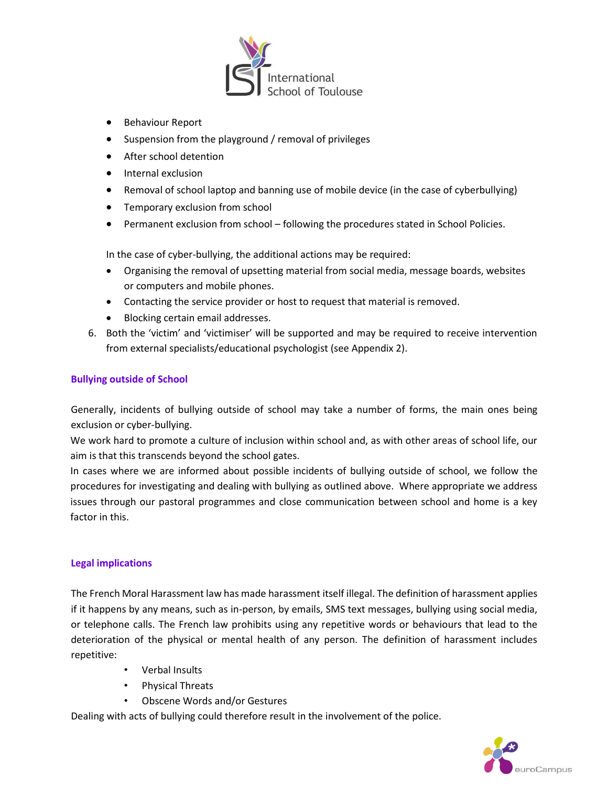

- **•** Behaviour Report
- Suspension from the playground / removal of privileges
- After school detention
- Internal exclusion
- Removal of school laptop and banning use of mobile device (in the case of cyberbullying)
- Temporary exclusion from school
- Permanent exclusion from school following the procedures stated in School Policies.

In the case of cyber-bullying, the additional actions may be required:

- Organising the removal of upsetting material from social media, message boards, websites or computers and mobile phones.
- Contacting the service provider or host to request that material is removed.
- Blocking certain email addresses.
- 6. Both the 'victim' and 'victimiser' will be supported and may be required to receive intervention from external specialists/educational psychologist (see Appendix 2).

### **Bullying outside of School**

Generally, incidents of bullying outside of school may take a number of forms, the main ones being exclusion or cyber-bullying.

We work hard to promote a culture of inclusion within school and, as with other areas of school life, our aim is that this transcends beyond the school gates.

In cases where we are informed about possible incidents of bullying outside of school, we follow the procedures for investigating and dealing with bullying as outlined above. Where appropriate we address issues through our pastoral programmes and close communication between school and home is a key factor in this.

### **Legal implications**

The French Moral Harassment law has made harassment itself illegal. The definition of harassment applies if it happens by any means, such as in-person, by emails, SMS text messages, bullying using social media, or telephone calls. The French law prohibits using any repetitive words or behaviours that lead to the deterioration of the physical or mental health of any person. The definition of harassment includes repetitive:

- Verbal Insults
- Physical Threats
- Obscene Words and/or Gestures

Dealing with acts of bullying could therefore result in the involvement of the police.

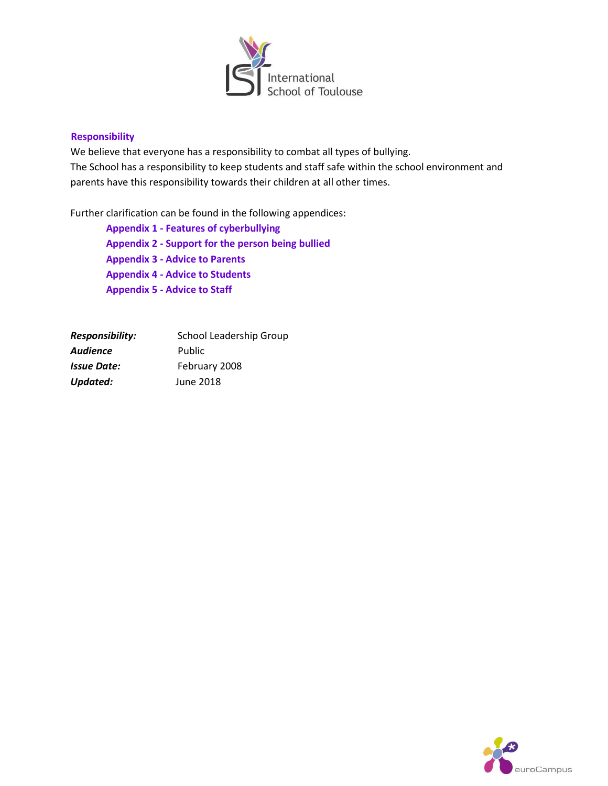

### **Responsibility**

We believe that everyone has a responsibility to combat all types of bullying. The School has a responsibility to keep students and staff safe within the school environment and parents have this responsibility towards their children at all other times.

Further clarification can be found in the following appendices:

**Appendix 1 - Features of cyberbullying Appendix 2 - Support for the person being bullied Appendix 3 - Advice to Parents Appendix 4 - Advice to Students Appendix 5 - Advice to Staff**

| Responsibility: | <b>School Leadership Group</b> |
|-----------------|--------------------------------|
| Audience        | Public                         |
| Issue Date:     | February 2008                  |
| Updated:        | June 2018                      |

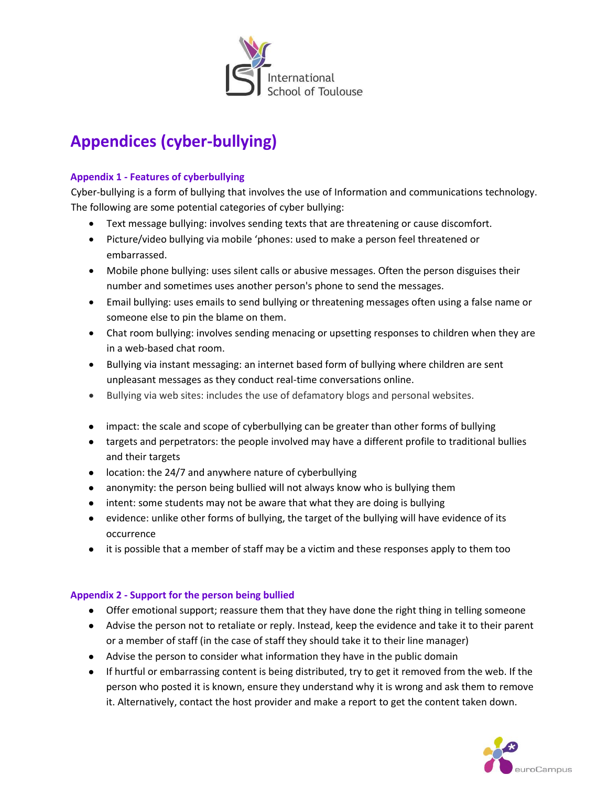

# **Appendices (cyber-bullying)**

# **Appendix 1 - Features of cyberbullying**

Cyber-bullying is a form of bullying that involves the use of Information and communications technology. The following are some potential categories of cyber bullying:

- Text message bullying: involves sending texts that are threatening or cause discomfort.
- Picture/video bullying via mobile 'phones: used to make a person feel threatened or embarrassed.
- Mobile phone bullying: uses silent calls or abusive messages. Often the person disguises their number and sometimes uses another person's phone to send the messages.
- Email bullying: uses emails to send bullying or threatening messages often using a false name or someone else to pin the blame on them.
- Chat room bullying: involves sending menacing or upsetting responses to children when they are in a web-based chat room.
- Bullying via instant messaging: an internet based form of bullying where children are sent unpleasant messages as they conduct real-time conversations online.
- Bullying via web sites: includes the use of defamatory blogs and personal websites.
- impact: the scale and scope of cyberbullying can be greater than other forms of bullying
- targets and perpetrators: the people involved may have a different profile to traditional bullies and their targets
- location: the 24/7 and anywhere nature of cyberbullying
- anonymity: the person being bullied will not always know who is bullying them
- intent: some students may not be aware that what they are doing is bullying
- evidence: unlike other forms of bullying, the target of the bullying will have evidence of its occurrence
- it is possible that a member of staff may be a victim and these responses apply to them too

# **Appendix 2 - Support for the person being bullied**

- Offer emotional support; reassure them that they have done the right thing in telling someone
- Advise the person not to retaliate or reply. Instead, keep the evidence and take it to their parent or a member of staff (in the case of staff they should take it to their line manager)
- Advise the person to consider what information they have in the public domain
- If hurtful or embarrassing content is being distributed, try to get it removed from the web. If the person who posted it is known, ensure they understand why it is wrong and ask them to remove it. Alternatively, contact the host provider and make a report to get the content taken down.

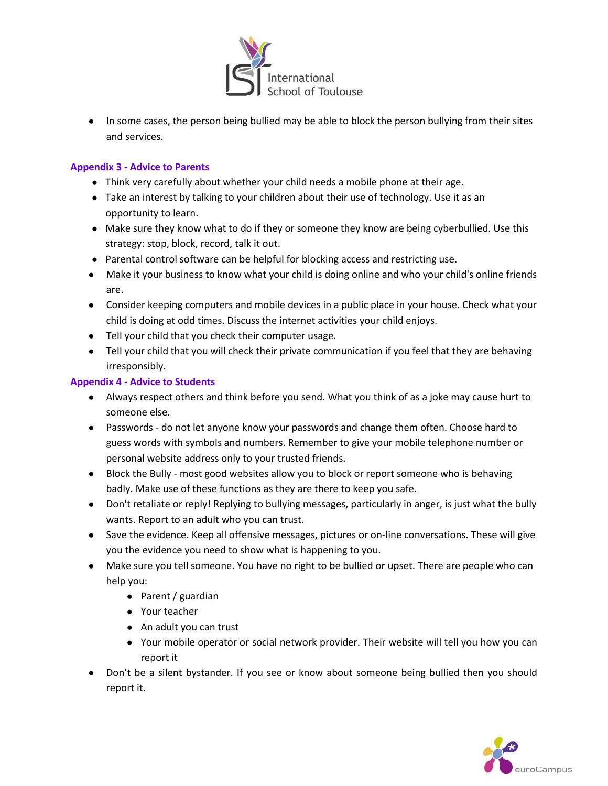

● In some cases, the person being bullied may be able to block the person bullying from their sites and services.

# **Appendix 3 - Advice to Parents**

- Think very carefully about whether your child needs a mobile phone at their age.
- Take an interest by talking to your children about their use of technology. Use it as an opportunity to learn.
- Make sure they know what to do if they or someone they know are being cyberbullied. Use this strategy: stop, block, record, talk it out.
- Parental control software can be helpful for blocking access and restricting use.
- Make it your business to know what your child is doing online and who your child's online friends are.
- Consider keeping computers and mobile devices in a public place in your house. Check what your child is doing at odd times. Discuss the internet activities your child enjoys.
- Tell your child that you check their computer usage.
- Tell your child that you will check their private communication if you feel that they are behaving irresponsibly.

### **Appendix 4 - Advice to Students**

- Always respect others and think before you send. What you think of as a joke may cause hurt to someone else.
- Passwords do not let anyone know your passwords and change them often. Choose hard to guess words with symbols and numbers. Remember to give your mobile telephone number or personal website address only to your trusted friends.
- Block the Bully most good websites allow you to block or report someone who is behaving badly. Make use of these functions as they are there to keep you safe.
- Don't retaliate or reply! Replying to bullying messages, particularly in anger, is just what the bully wants. Report to an adult who you can trust.
- Save the evidence. Keep all offensive messages, pictures or on-line conversations. These will give you the evidence you need to show what is happening to you.
- Make sure you tell someone. You have no right to be bullied or upset. There are people who can help you:
	- Parent / guardian
	- Your teacher
	- An adult you can trust
	- Your mobile operator or social network provider. Their website will tell you how you can report it
- Don't be a silent bystander. If you see or know about someone being bullied then you should report it.

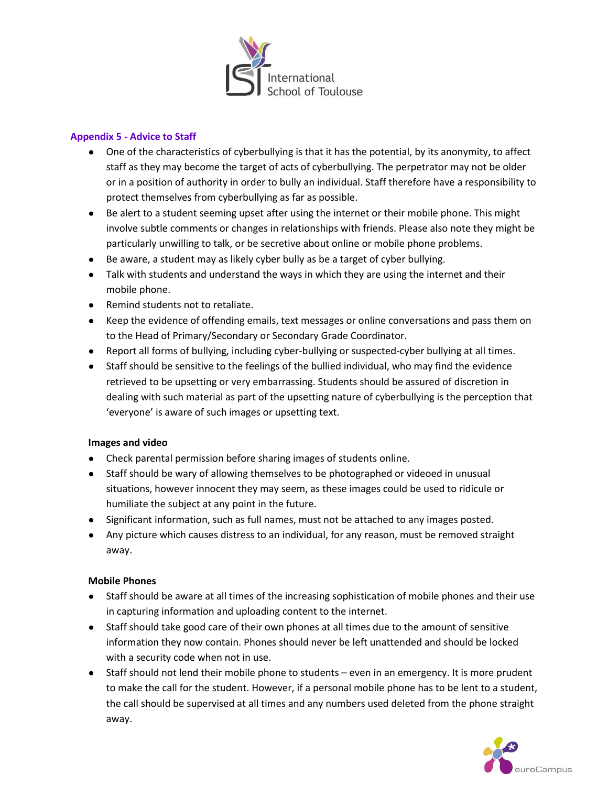

## **Appendix 5 - Advice to Staff**

- One of the characteristics of cyberbullying is that it has the potential, by its anonymity, to affect staff as they may become the target of acts of cyberbullying. The perpetrator may not be older or in a position of authority in order to bully an individual. Staff therefore have a responsibility to protect themselves from cyberbullying as far as possible.
- Be alert to a student seeming upset after using the internet or their mobile phone. This might involve subtle comments or changes in relationships with friends. Please also note they might be particularly unwilling to talk, or be secretive about online or mobile phone problems.
- Be aware, a student may as likely cyber bully as be a target of cyber bullying.
- Talk with students and understand the ways in which they are using the internet and their mobile phone.
- Remind students not to retaliate.
- Keep the evidence of offending emails, text messages or online conversations and pass them on to the Head of Primary/Secondary or Secondary Grade Coordinator.
- Report all forms of bullying, including cyber-bullying or suspected-cyber bullying at all times.
- Staff should be sensitive to the feelings of the bullied individual, who may find the evidence retrieved to be upsetting or very embarrassing. Students should be assured of discretion in dealing with such material as part of the upsetting nature of cyberbullying is the perception that 'everyone' is aware of such images or upsetting text.

### **Images and video**

- Check parental permission before sharing images of students online.
- Staff should be wary of allowing themselves to be photographed or videoed in unusual situations, however innocent they may seem, as these images could be used to ridicule or humiliate the subject at any point in the future.
- Significant information, such as full names, must not be attached to any images posted.
- Any picture which causes distress to an individual, for any reason, must be removed straight away.

### **Mobile Phones**

- Staff should be aware at all times of the increasing sophistication of mobile phones and their use in capturing information and uploading content to the internet.
- Staff should take good care of their own phones at all times due to the amount of sensitive information they now contain. Phones should never be left unattended and should be locked with a security code when not in use.
- Staff should not lend their mobile phone to students even in an emergency. It is more prudent to make the call for the student. However, if a personal mobile phone has to be lent to a student, the call should be supervised at all times and any numbers used deleted from the phone straight away.